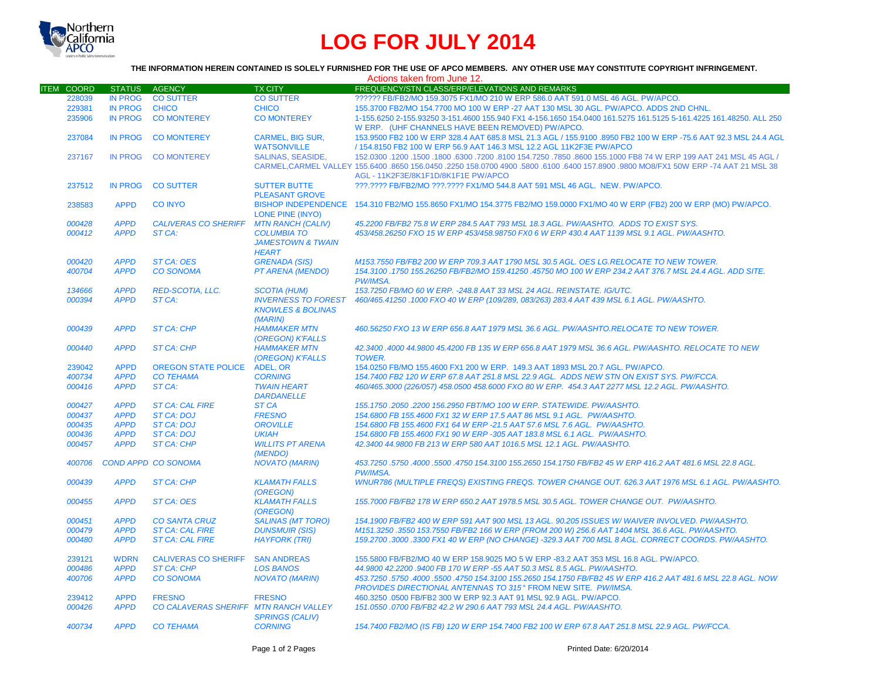

## **LOG FOR JULY 2014**

## **THE INFORMATION HEREIN CONTAINED IS SOLELY FURNISHED FOR THE USE OF APCO MEMBERS. ANY OTHER USE MAY CONSTITUTE COPYRIGHT INFRINGEMENT.**

| FREQUENCY/STN CLASS/ERP/ELEVATIONS AND REMARKS<br><b>ITEM COORD</b><br><b>STATUS</b><br><b>AGENCY</b><br><b>TX CITY</b><br><b>IN PROG</b><br><b>CO SUTTER</b><br>?????? FB/FB2/MO 159.3075 FX1/MO 210 W ERP 586.0 AAT 591.0 MSL 46 AGL. PW/APCO.<br>228039<br><b>CO SUTTER</b><br>229381<br><b>IN PROG</b><br><b>CHICO</b><br><b>CHICO</b><br>155.3700 FB2/MO 154.7700 MO 100 W ERP -27 AAT 130 MSL 30 AGL. PW/APCO. ADDS 2ND CHNL.<br><b>IN PROG</b><br>235906<br><b>CO MONTEREY</b><br><b>CO MONTEREY</b><br>1-155.6250 2-155.93250 3-151.4600 155.940 FX1 4-156.1650 154.0400 161.5275 161.5125 5-161.4225 161.48250. ALL 250<br>W ERP. (UHF CHANNELS HAVE BEEN REMOVED) PW/APCO.<br><b>IN PROG</b><br><b>CO MONTEREY</b><br><b>CARMEL. BIG SUR.</b><br>153.9500 FB2 100 W ERP 328.4 AAT 685.8 MSL 21.3 AGL / 155.9100 .8950 FB2 100 W ERP -75.6 AAT 92.3 MSL 24.4 AGL<br>237084<br><b>WATSONVILLE</b><br>/ 154.8150 FB2 100 W ERP 56.9 AAT 146.3 MSL 12.2 AGL 11K2F3E PW/APCO<br><b>SALINAS, SEASIDE,</b><br>152,0300 1200 1550,0300 17200 154.7250 .7850 .8600 155.1000 FB8 74 W ERP 199 AAT 241 MSL 45 AGL /<br>237167<br><b>IN PROG</b><br><b>CO MONTEREY</b><br>CARMEL, CARMEL VALLEY 155.6400 .8650 156.0450 .2250 158.0700 4900 .5800 .6100 .6400 157.8900 .9800 MO8/FX1 50W ERP -74 AAT 21 MSL 38<br>AGL - 11K2F3E/8K1F1D/8K1F1E PW/APCO<br>237512<br><b>IN PROG</b><br><b>CO SUTTER</b><br><b>SUTTER BUTTE</b><br>???.???? FB/FB2/MO ???.???? FX1/MO 544.8 AAT 591 MSL 46 AGL. NEW. PW/APCO.<br><b>PLEASANT GROVE</b><br>BISHOP INDEPENDENCE 154.310 FB2/MO 155.8650 FX1/MO 154.3775 FB2/MO 159.0000 FX1/MO 40 W ERP (FB2) 200 W ERP (MO) PW/APCO.<br><b>APPD</b><br><b>CO INYO</b><br>238583<br><b>LONE PINE (INYO)</b><br><b>APPD</b><br><b>CALIVERAS CO SHERIFF</b><br><b>MTN RANCH (CALIV)</b><br>45.2200 FB/FB2 75.8 W ERP 284.5 AAT 793 MSL 18.3 AGL. PW/AASHTO. ADDS TO EXIST SYS.<br>000428<br><b>APPD</b><br>ST CA:<br>453/458.26250 FXO 15 W ERP 453/458.98750 FX0 6 W ERP 430.4 AAT 1139 MSL 9.1 AGL. PW/AASHTO.<br>000412<br><b>COLUMBIA TO</b><br><b>JAMESTOWN &amp; TWAIN</b><br><b>HEART</b><br><b>APPD</b><br>000420<br><b>ST CA: OES</b><br><b>GRENADA (SIS)</b><br>M153.7550 FB/FB2 200 W ERP 709.3 AAT 1790 MSL 30.5 AGL. OES LG.RELOCATE TO NEW TOWER.<br><b>APPD</b><br><b>CO SONOMA</b><br><b>PT ARENA (MENDO)</b><br>154.3100 .1750 155.26250 FB/FB2/MO 159.41250 .45750 MO 100 W ERP 234.2 AAT 376.7 MSL 24.4 AGL. ADD SITE.<br>400704<br>PW/IMSA.<br><b>APPD</b><br><b>RED-SCOTIA, LLC.</b><br>153.7250 FB/MO 60 W ERP. - 248.8 AAT 33 MSL 24 AGL. REINSTATE. IG/UTC.<br>134666<br><b>SCOTIA (HUM)</b><br><b>APPD</b><br><b>INVERNESS TO FOREST</b><br>000394<br>ST CA:<br>460/465.41250 .1000 FXO 40 W ERP (109/289, 083/263) 283.4 AAT 439 MSL 6.1 AGL. PW/AASHTO.<br><b>KNOWLES &amp; BOLINAS</b><br>(MARIN)<br><b>APPD</b><br><b>HAMMAKER MTN</b><br>460.56250 FXO 13 W ERP 656.8 AAT 1979 MSL 36.6 AGL, PW/AASHTO.RELOCATE TO NEW TOWER.<br>000439<br><b>ST CA: CHP</b><br>(OREGON) K'FALLS<br>000440<br><b>APPD</b><br><b>HAMMAKER MTN</b><br>42.3400.4000 44.9800 45.4200 FB 135 W ERP 656.8 AAT 1979 MSL 36.6 AGL, PW/AASHTO, RELOCATE TO NEW<br><b>ST CA: CHP</b><br>(OREGON) K'FALLS<br><b>TOWER.</b><br><b>APPD</b><br>239042<br><b>OREGON STATE POLICE</b><br><b>ADEL, OR</b><br>154,0250 FB/MO 155,4600 FX1 200 W ERP. 149.3 AAT 1893 MSL 20.7 AGL. PW/APCO.<br><b>APPD</b><br><b>CO TEHAMA</b><br>154.7400 FB2 120 W ERP 67.8 AAT 251.8 MSL 22.9 AGL. ADDS NEW STN ON EXIST SYS. PW/FCCA.<br>400734<br><b>CORNING</b><br>000416<br><b>APPD</b><br>ST CA:<br>460/465.3000 (226/057) 458.0500 458.6000 FXO 80 W ERP. 454.3 AAT 2277 MSL 12.2 AGL. PW/AASHTO.<br><b>TWAIN HEART</b><br><b>DARDANELLE</b><br>000427<br><b>APPD</b><br><b>ST CA: CAL FIRE</b><br><b>ST CA</b><br>155.1750.2050.2200 156.2950 FBT/MO 100 W ERP. STATEWIDE. PW/AASHTO.<br><b>APPD</b><br><b>ST CA: DOJ</b><br>154.6800 FB 155.4600 FX1 32 W ERP 17.5 AAT 86 MSL 9.1 AGL. PW/AASHTO.<br>000437<br><b>FRESNO</b><br>000435<br><b>APPD</b><br><b>ST CA: DOJ</b><br><b>OROVILLE</b><br>154.6800 FB 155.4600 FX1 64 W ERP -21.5 AAT 57.6 MSL 7.6 AGL. PW/AASHTO.<br>000436<br><b>APPD</b><br>154.6800 FB 155.4600 FX1 90 W ERP -305 AAT 183.8 MSL 6.1 AGL. PW/AASHTO.<br><b>ST CA: DOJ</b><br><b>UKIAH</b><br><b>APPD</b><br>000457<br><b>ST CA: CHP</b><br><b>WILLITS PT ARENA</b><br>42.3400 44.9800 FB 213 W ERP 580 AAT 1016.5 MSL 12.1 AGL, PW/AASHTO.<br>(MENDO)<br><b>COND APPD CO SONOMA</b><br>453.7250 .5750 .4000 .5500 .4750 154.3100 155.2650 154.1750 FB/FB2 45 W ERP 416.2 AAT 481.6 MSL 22.8 AGL<br>400706<br><b>NOVATO (MARIN)</b><br>PW/IMSA.<br>000439<br><b>APPD</b><br><b>ST CA: CHP</b><br><b>KLAMATH FALLS</b><br>WNUR786 (MULTIPLE FREQS) EXISTING FREQS. TOWER CHANGE OUT. 626.3 AAT 1976 MSL 6.1 AGL. PW/AASHTO.<br>(OREGON)<br><b>APPD</b><br><b>ST CA: OES</b><br><b>KLAMATH FALLS</b><br>155,7000 FB/FB2 178 W ERP 650.2 AAT 1978.5 MSL 30.5 AGL. TOWER CHANGE OUT. PW/AASHTO.<br>000455<br>(OREGON)<br><b>APPD</b><br><b>CO SANTA CRUZ</b><br><b>SALINAS (MT TORO)</b><br>154.1900 FB/FB2 400 W ERP 591 AAT 900 MSL 13 AGL. 90.205 ISSUES W/WAIVER INVOLVED, PW/AASHTO,<br>000451<br><b>ST CA: CAL FIRE</b><br>M151.3250 .3550 153.7550 FB/FB2 166 W ERP (FROM 200 W) 256.6 AAT 1404 MSL 36.6 AGL. PW/AASHTO.<br>000479<br><b>APPD</b><br><b>DUNSMUIR (SIS)</b><br>000480<br><b>APPD</b><br><b>ST CA: CAL FIRE</b><br><b>HAYFORK (TRI)</b><br>159.2700 .3000 .3300 FX1 40 W ERP (NO CHANGE) -329.3 AAT 700 MSL 8 AGL. CORRECT COORDS. PW/AASHTO.<br>155.5800 FB/FB2/MO 40 W ERP 158.9025 MO 5 W ERP -83.2 AAT 353 MSL 16.8 AGL. PW/APCO.<br>239121<br><b>WDRN</b><br><b>CALIVERAS CO SHERIFF</b><br><b>SAN ANDREAS</b><br>000486<br><b>APPD</b><br><b>ST CA: CHP</b><br><b>LOS BANOS</b><br>44.9800 42.2200 .9400 FB 170 W ERP -55 AAT 50.3 MSL 8.5 AGL. PW/AASHTO.<br><b>APPD</b><br><b>CO SONOMA</b><br>400706<br><b>NOVATO (MARIN)</b><br>453.7250 .5750 .4000 .5500 .4750 154.3100 155.2650 154.1750 FB/FB2 45 W ERP 416.2 AAT 481.6 MSL 22.8 AGL. NOW<br>PROVIDES DIRECTIONAL ANTENNAS TO 315° FROM NEW SITE. PW/IMSA.<br>239412<br><b>APPD</b><br><b>FRESNO</b><br><b>FRESNO</b><br>460.3250 .0500 FB/FB2 300 W ERP 92.3 AAT 91 MSL 92.9 AGL. PW/APCO.<br><b>APPD</b><br>000426<br>CO CALAVERAS SHERIFF MTN RANCH VALLEY<br>151.0550.0700 FB/FB2 42.2 W 290.6 AAT 793 MSL 24.4 AGL, PW/AASHTO.<br><b>SPRINGS (CALIV)</b><br><b>APPD</b><br><b>CO TEHAMA</b><br><b>CORNING</b><br>154.7400 FB2/MO (IS FB) 120 W ERP 154.7400 FB2 100 W ERP 67.8 AAT 251.8 MSL 22.9 AGL. PW/FCCA.<br>400734 |  |  | Actions taken from June 12. |
|------------------------------------------------------------------------------------------------------------------------------------------------------------------------------------------------------------------------------------------------------------------------------------------------------------------------------------------------------------------------------------------------------------------------------------------------------------------------------------------------------------------------------------------------------------------------------------------------------------------------------------------------------------------------------------------------------------------------------------------------------------------------------------------------------------------------------------------------------------------------------------------------------------------------------------------------------------------------------------------------------------------------------------------------------------------------------------------------------------------------------------------------------------------------------------------------------------------------------------------------------------------------------------------------------------------------------------------------------------------------------------------------------------------------------------------------------------------------------------------------------------------------------------------------------------------------------------------------------------------------------------------------------------------------------------------------------------------------------------------------------------------------------------------------------------------------------------------------------------------------------------------------------------------------------------------------------------------------------------------------------------------------------------------------------------------------------------------------------------------------------------------------------------------------------------------------------------------------------------------------------------------------------------------------------------------------------------------------------------------------------------------------------------------------------------------------------------------------------------------------------------------------------------------------------------------------------------------------------------------------------------------------------------------------------------------------------------------------------------------------------------------------------------------------------------------------------------------------------------------------------------------------------------------------------------------------------------------------------------------------------------------------------------------------------------------------------------------------------------------------------------------------------------------------------------------------------------------------------------------------------------------------------------------------------------------------------------------------------------------------------------------------------------------------------------------------------------------------------------------------------------------------------------------------------------------------------------------------------------------------------------------------------------------------------------------------------------------------------------------------------------------------------------------------------------------------------------------------------------------------------------------------------------------------------------------------------------------------------------------------------------------------------------------------------------------------------------------------------------------------------------------------------------------------------------------------------------------------------------------------------------------------------------------------------------------------------------------------------------------------------------------------------------------------------------------------------------------------------------------------------------------------------------------------------------------------------------------------------------------------------------------------------------------------------------------------------------------------------------------------------------------------------------------------------------------------------------------------------------------------------------------------------------------------------------------------------------------------------------------------------------------------------------------------------------------------------------------------------------------------------------------------------------------------------------------------------------------------------------------------------------------------------------------------------------------------------------------------------------------------------------------------------------------------------------------------------------------------------------------------------------------------------------------------------------------------------------------------------------------------------------------------------------------------------------------------------------------------------------------------------------------------------------------------------------------------------------------------------------------------------------------------------------------------------------------------------------------------------------------------------------------------------------------------------------------------------------------------------------------------------------------------------------------------------------------------------------------------------------------------------------------------------------------------------------------------------------------------------------------------------------------------------------------------------------------------------------------------------------------------------------------------------------------------------------------------------------------------------------------------------------------------------|--|--|-----------------------------|
|                                                                                                                                                                                                                                                                                                                                                                                                                                                                                                                                                                                                                                                                                                                                                                                                                                                                                                                                                                                                                                                                                                                                                                                                                                                                                                                                                                                                                                                                                                                                                                                                                                                                                                                                                                                                                                                                                                                                                                                                                                                                                                                                                                                                                                                                                                                                                                                                                                                                                                                                                                                                                                                                                                                                                                                                                                                                                                                                                                                                                                                                                                                                                                                                                                                                                                                                                                                                                                                                                                                                                                                                                                                                                                                                                                                                                                                                                                                                                                                                                                                                                                                                                                                                                                                                                                                                                                                                                                                                                                                                                                                                                                                                                                                                                                                                                                                                                                                                                                                                                                                                                                                                                                                                                                                                                                                                                                                                                                                                                                                                                                                                                                                                                                                                                                                                                                                                                                                                                                                                                                                                                                                                                                                                                                                                                                                                                                                                                                                                                                                                                                                                                                                      |  |  |                             |
|                                                                                                                                                                                                                                                                                                                                                                                                                                                                                                                                                                                                                                                                                                                                                                                                                                                                                                                                                                                                                                                                                                                                                                                                                                                                                                                                                                                                                                                                                                                                                                                                                                                                                                                                                                                                                                                                                                                                                                                                                                                                                                                                                                                                                                                                                                                                                                                                                                                                                                                                                                                                                                                                                                                                                                                                                                                                                                                                                                                                                                                                                                                                                                                                                                                                                                                                                                                                                                                                                                                                                                                                                                                                                                                                                                                                                                                                                                                                                                                                                                                                                                                                                                                                                                                                                                                                                                                                                                                                                                                                                                                                                                                                                                                                                                                                                                                                                                                                                                                                                                                                                                                                                                                                                                                                                                                                                                                                                                                                                                                                                                                                                                                                                                                                                                                                                                                                                                                                                                                                                                                                                                                                                                                                                                                                                                                                                                                                                                                                                                                                                                                                                                                      |  |  |                             |
|                                                                                                                                                                                                                                                                                                                                                                                                                                                                                                                                                                                                                                                                                                                                                                                                                                                                                                                                                                                                                                                                                                                                                                                                                                                                                                                                                                                                                                                                                                                                                                                                                                                                                                                                                                                                                                                                                                                                                                                                                                                                                                                                                                                                                                                                                                                                                                                                                                                                                                                                                                                                                                                                                                                                                                                                                                                                                                                                                                                                                                                                                                                                                                                                                                                                                                                                                                                                                                                                                                                                                                                                                                                                                                                                                                                                                                                                                                                                                                                                                                                                                                                                                                                                                                                                                                                                                                                                                                                                                                                                                                                                                                                                                                                                                                                                                                                                                                                                                                                                                                                                                                                                                                                                                                                                                                                                                                                                                                                                                                                                                                                                                                                                                                                                                                                                                                                                                                                                                                                                                                                                                                                                                                                                                                                                                                                                                                                                                                                                                                                                                                                                                                                      |  |  |                             |
|                                                                                                                                                                                                                                                                                                                                                                                                                                                                                                                                                                                                                                                                                                                                                                                                                                                                                                                                                                                                                                                                                                                                                                                                                                                                                                                                                                                                                                                                                                                                                                                                                                                                                                                                                                                                                                                                                                                                                                                                                                                                                                                                                                                                                                                                                                                                                                                                                                                                                                                                                                                                                                                                                                                                                                                                                                                                                                                                                                                                                                                                                                                                                                                                                                                                                                                                                                                                                                                                                                                                                                                                                                                                                                                                                                                                                                                                                                                                                                                                                                                                                                                                                                                                                                                                                                                                                                                                                                                                                                                                                                                                                                                                                                                                                                                                                                                                                                                                                                                                                                                                                                                                                                                                                                                                                                                                                                                                                                                                                                                                                                                                                                                                                                                                                                                                                                                                                                                                                                                                                                                                                                                                                                                                                                                                                                                                                                                                                                                                                                                                                                                                                                                      |  |  |                             |
|                                                                                                                                                                                                                                                                                                                                                                                                                                                                                                                                                                                                                                                                                                                                                                                                                                                                                                                                                                                                                                                                                                                                                                                                                                                                                                                                                                                                                                                                                                                                                                                                                                                                                                                                                                                                                                                                                                                                                                                                                                                                                                                                                                                                                                                                                                                                                                                                                                                                                                                                                                                                                                                                                                                                                                                                                                                                                                                                                                                                                                                                                                                                                                                                                                                                                                                                                                                                                                                                                                                                                                                                                                                                                                                                                                                                                                                                                                                                                                                                                                                                                                                                                                                                                                                                                                                                                                                                                                                                                                                                                                                                                                                                                                                                                                                                                                                                                                                                                                                                                                                                                                                                                                                                                                                                                                                                                                                                                                                                                                                                                                                                                                                                                                                                                                                                                                                                                                                                                                                                                                                                                                                                                                                                                                                                                                                                                                                                                                                                                                                                                                                                                                                      |  |  |                             |
|                                                                                                                                                                                                                                                                                                                                                                                                                                                                                                                                                                                                                                                                                                                                                                                                                                                                                                                                                                                                                                                                                                                                                                                                                                                                                                                                                                                                                                                                                                                                                                                                                                                                                                                                                                                                                                                                                                                                                                                                                                                                                                                                                                                                                                                                                                                                                                                                                                                                                                                                                                                                                                                                                                                                                                                                                                                                                                                                                                                                                                                                                                                                                                                                                                                                                                                                                                                                                                                                                                                                                                                                                                                                                                                                                                                                                                                                                                                                                                                                                                                                                                                                                                                                                                                                                                                                                                                                                                                                                                                                                                                                                                                                                                                                                                                                                                                                                                                                                                                                                                                                                                                                                                                                                                                                                                                                                                                                                                                                                                                                                                                                                                                                                                                                                                                                                                                                                                                                                                                                                                                                                                                                                                                                                                                                                                                                                                                                                                                                                                                                                                                                                                                      |  |  |                             |
|                                                                                                                                                                                                                                                                                                                                                                                                                                                                                                                                                                                                                                                                                                                                                                                                                                                                                                                                                                                                                                                                                                                                                                                                                                                                                                                                                                                                                                                                                                                                                                                                                                                                                                                                                                                                                                                                                                                                                                                                                                                                                                                                                                                                                                                                                                                                                                                                                                                                                                                                                                                                                                                                                                                                                                                                                                                                                                                                                                                                                                                                                                                                                                                                                                                                                                                                                                                                                                                                                                                                                                                                                                                                                                                                                                                                                                                                                                                                                                                                                                                                                                                                                                                                                                                                                                                                                                                                                                                                                                                                                                                                                                                                                                                                                                                                                                                                                                                                                                                                                                                                                                                                                                                                                                                                                                                                                                                                                                                                                                                                                                                                                                                                                                                                                                                                                                                                                                                                                                                                                                                                                                                                                                                                                                                                                                                                                                                                                                                                                                                                                                                                                                                      |  |  |                             |
|                                                                                                                                                                                                                                                                                                                                                                                                                                                                                                                                                                                                                                                                                                                                                                                                                                                                                                                                                                                                                                                                                                                                                                                                                                                                                                                                                                                                                                                                                                                                                                                                                                                                                                                                                                                                                                                                                                                                                                                                                                                                                                                                                                                                                                                                                                                                                                                                                                                                                                                                                                                                                                                                                                                                                                                                                                                                                                                                                                                                                                                                                                                                                                                                                                                                                                                                                                                                                                                                                                                                                                                                                                                                                                                                                                                                                                                                                                                                                                                                                                                                                                                                                                                                                                                                                                                                                                                                                                                                                                                                                                                                                                                                                                                                                                                                                                                                                                                                                                                                                                                                                                                                                                                                                                                                                                                                                                                                                                                                                                                                                                                                                                                                                                                                                                                                                                                                                                                                                                                                                                                                                                                                                                                                                                                                                                                                                                                                                                                                                                                                                                                                                                                      |  |  |                             |
|                                                                                                                                                                                                                                                                                                                                                                                                                                                                                                                                                                                                                                                                                                                                                                                                                                                                                                                                                                                                                                                                                                                                                                                                                                                                                                                                                                                                                                                                                                                                                                                                                                                                                                                                                                                                                                                                                                                                                                                                                                                                                                                                                                                                                                                                                                                                                                                                                                                                                                                                                                                                                                                                                                                                                                                                                                                                                                                                                                                                                                                                                                                                                                                                                                                                                                                                                                                                                                                                                                                                                                                                                                                                                                                                                                                                                                                                                                                                                                                                                                                                                                                                                                                                                                                                                                                                                                                                                                                                                                                                                                                                                                                                                                                                                                                                                                                                                                                                                                                                                                                                                                                                                                                                                                                                                                                                                                                                                                                                                                                                                                                                                                                                                                                                                                                                                                                                                                                                                                                                                                                                                                                                                                                                                                                                                                                                                                                                                                                                                                                                                                                                                                                      |  |  |                             |
|                                                                                                                                                                                                                                                                                                                                                                                                                                                                                                                                                                                                                                                                                                                                                                                                                                                                                                                                                                                                                                                                                                                                                                                                                                                                                                                                                                                                                                                                                                                                                                                                                                                                                                                                                                                                                                                                                                                                                                                                                                                                                                                                                                                                                                                                                                                                                                                                                                                                                                                                                                                                                                                                                                                                                                                                                                                                                                                                                                                                                                                                                                                                                                                                                                                                                                                                                                                                                                                                                                                                                                                                                                                                                                                                                                                                                                                                                                                                                                                                                                                                                                                                                                                                                                                                                                                                                                                                                                                                                                                                                                                                                                                                                                                                                                                                                                                                                                                                                                                                                                                                                                                                                                                                                                                                                                                                                                                                                                                                                                                                                                                                                                                                                                                                                                                                                                                                                                                                                                                                                                                                                                                                                                                                                                                                                                                                                                                                                                                                                                                                                                                                                                                      |  |  |                             |
|                                                                                                                                                                                                                                                                                                                                                                                                                                                                                                                                                                                                                                                                                                                                                                                                                                                                                                                                                                                                                                                                                                                                                                                                                                                                                                                                                                                                                                                                                                                                                                                                                                                                                                                                                                                                                                                                                                                                                                                                                                                                                                                                                                                                                                                                                                                                                                                                                                                                                                                                                                                                                                                                                                                                                                                                                                                                                                                                                                                                                                                                                                                                                                                                                                                                                                                                                                                                                                                                                                                                                                                                                                                                                                                                                                                                                                                                                                                                                                                                                                                                                                                                                                                                                                                                                                                                                                                                                                                                                                                                                                                                                                                                                                                                                                                                                                                                                                                                                                                                                                                                                                                                                                                                                                                                                                                                                                                                                                                                                                                                                                                                                                                                                                                                                                                                                                                                                                                                                                                                                                                                                                                                                                                                                                                                                                                                                                                                                                                                                                                                                                                                                                                      |  |  |                             |
|                                                                                                                                                                                                                                                                                                                                                                                                                                                                                                                                                                                                                                                                                                                                                                                                                                                                                                                                                                                                                                                                                                                                                                                                                                                                                                                                                                                                                                                                                                                                                                                                                                                                                                                                                                                                                                                                                                                                                                                                                                                                                                                                                                                                                                                                                                                                                                                                                                                                                                                                                                                                                                                                                                                                                                                                                                                                                                                                                                                                                                                                                                                                                                                                                                                                                                                                                                                                                                                                                                                                                                                                                                                                                                                                                                                                                                                                                                                                                                                                                                                                                                                                                                                                                                                                                                                                                                                                                                                                                                                                                                                                                                                                                                                                                                                                                                                                                                                                                                                                                                                                                                                                                                                                                                                                                                                                                                                                                                                                                                                                                                                                                                                                                                                                                                                                                                                                                                                                                                                                                                                                                                                                                                                                                                                                                                                                                                                                                                                                                                                                                                                                                                                      |  |  |                             |
|                                                                                                                                                                                                                                                                                                                                                                                                                                                                                                                                                                                                                                                                                                                                                                                                                                                                                                                                                                                                                                                                                                                                                                                                                                                                                                                                                                                                                                                                                                                                                                                                                                                                                                                                                                                                                                                                                                                                                                                                                                                                                                                                                                                                                                                                                                                                                                                                                                                                                                                                                                                                                                                                                                                                                                                                                                                                                                                                                                                                                                                                                                                                                                                                                                                                                                                                                                                                                                                                                                                                                                                                                                                                                                                                                                                                                                                                                                                                                                                                                                                                                                                                                                                                                                                                                                                                                                                                                                                                                                                                                                                                                                                                                                                                                                                                                                                                                                                                                                                                                                                                                                                                                                                                                                                                                                                                                                                                                                                                                                                                                                                                                                                                                                                                                                                                                                                                                                                                                                                                                                                                                                                                                                                                                                                                                                                                                                                                                                                                                                                                                                                                                                                      |  |  |                             |
|                                                                                                                                                                                                                                                                                                                                                                                                                                                                                                                                                                                                                                                                                                                                                                                                                                                                                                                                                                                                                                                                                                                                                                                                                                                                                                                                                                                                                                                                                                                                                                                                                                                                                                                                                                                                                                                                                                                                                                                                                                                                                                                                                                                                                                                                                                                                                                                                                                                                                                                                                                                                                                                                                                                                                                                                                                                                                                                                                                                                                                                                                                                                                                                                                                                                                                                                                                                                                                                                                                                                                                                                                                                                                                                                                                                                                                                                                                                                                                                                                                                                                                                                                                                                                                                                                                                                                                                                                                                                                                                                                                                                                                                                                                                                                                                                                                                                                                                                                                                                                                                                                                                                                                                                                                                                                                                                                                                                                                                                                                                                                                                                                                                                                                                                                                                                                                                                                                                                                                                                                                                                                                                                                                                                                                                                                                                                                                                                                                                                                                                                                                                                                                                      |  |  |                             |
|                                                                                                                                                                                                                                                                                                                                                                                                                                                                                                                                                                                                                                                                                                                                                                                                                                                                                                                                                                                                                                                                                                                                                                                                                                                                                                                                                                                                                                                                                                                                                                                                                                                                                                                                                                                                                                                                                                                                                                                                                                                                                                                                                                                                                                                                                                                                                                                                                                                                                                                                                                                                                                                                                                                                                                                                                                                                                                                                                                                                                                                                                                                                                                                                                                                                                                                                                                                                                                                                                                                                                                                                                                                                                                                                                                                                                                                                                                                                                                                                                                                                                                                                                                                                                                                                                                                                                                                                                                                                                                                                                                                                                                                                                                                                                                                                                                                                                                                                                                                                                                                                                                                                                                                                                                                                                                                                                                                                                                                                                                                                                                                                                                                                                                                                                                                                                                                                                                                                                                                                                                                                                                                                                                                                                                                                                                                                                                                                                                                                                                                                                                                                                                                      |  |  |                             |
|                                                                                                                                                                                                                                                                                                                                                                                                                                                                                                                                                                                                                                                                                                                                                                                                                                                                                                                                                                                                                                                                                                                                                                                                                                                                                                                                                                                                                                                                                                                                                                                                                                                                                                                                                                                                                                                                                                                                                                                                                                                                                                                                                                                                                                                                                                                                                                                                                                                                                                                                                                                                                                                                                                                                                                                                                                                                                                                                                                                                                                                                                                                                                                                                                                                                                                                                                                                                                                                                                                                                                                                                                                                                                                                                                                                                                                                                                                                                                                                                                                                                                                                                                                                                                                                                                                                                                                                                                                                                                                                                                                                                                                                                                                                                                                                                                                                                                                                                                                                                                                                                                                                                                                                                                                                                                                                                                                                                                                                                                                                                                                                                                                                                                                                                                                                                                                                                                                                                                                                                                                                                                                                                                                                                                                                                                                                                                                                                                                                                                                                                                                                                                                                      |  |  |                             |
|                                                                                                                                                                                                                                                                                                                                                                                                                                                                                                                                                                                                                                                                                                                                                                                                                                                                                                                                                                                                                                                                                                                                                                                                                                                                                                                                                                                                                                                                                                                                                                                                                                                                                                                                                                                                                                                                                                                                                                                                                                                                                                                                                                                                                                                                                                                                                                                                                                                                                                                                                                                                                                                                                                                                                                                                                                                                                                                                                                                                                                                                                                                                                                                                                                                                                                                                                                                                                                                                                                                                                                                                                                                                                                                                                                                                                                                                                                                                                                                                                                                                                                                                                                                                                                                                                                                                                                                                                                                                                                                                                                                                                                                                                                                                                                                                                                                                                                                                                                                                                                                                                                                                                                                                                                                                                                                                                                                                                                                                                                                                                                                                                                                                                                                                                                                                                                                                                                                                                                                                                                                                                                                                                                                                                                                                                                                                                                                                                                                                                                                                                                                                                                                      |  |  |                             |
|                                                                                                                                                                                                                                                                                                                                                                                                                                                                                                                                                                                                                                                                                                                                                                                                                                                                                                                                                                                                                                                                                                                                                                                                                                                                                                                                                                                                                                                                                                                                                                                                                                                                                                                                                                                                                                                                                                                                                                                                                                                                                                                                                                                                                                                                                                                                                                                                                                                                                                                                                                                                                                                                                                                                                                                                                                                                                                                                                                                                                                                                                                                                                                                                                                                                                                                                                                                                                                                                                                                                                                                                                                                                                                                                                                                                                                                                                                                                                                                                                                                                                                                                                                                                                                                                                                                                                                                                                                                                                                                                                                                                                                                                                                                                                                                                                                                                                                                                                                                                                                                                                                                                                                                                                                                                                                                                                                                                                                                                                                                                                                                                                                                                                                                                                                                                                                                                                                                                                                                                                                                                                                                                                                                                                                                                                                                                                                                                                                                                                                                                                                                                                                                      |  |  |                             |
|                                                                                                                                                                                                                                                                                                                                                                                                                                                                                                                                                                                                                                                                                                                                                                                                                                                                                                                                                                                                                                                                                                                                                                                                                                                                                                                                                                                                                                                                                                                                                                                                                                                                                                                                                                                                                                                                                                                                                                                                                                                                                                                                                                                                                                                                                                                                                                                                                                                                                                                                                                                                                                                                                                                                                                                                                                                                                                                                                                                                                                                                                                                                                                                                                                                                                                                                                                                                                                                                                                                                                                                                                                                                                                                                                                                                                                                                                                                                                                                                                                                                                                                                                                                                                                                                                                                                                                                                                                                                                                                                                                                                                                                                                                                                                                                                                                                                                                                                                                                                                                                                                                                                                                                                                                                                                                                                                                                                                                                                                                                                                                                                                                                                                                                                                                                                                                                                                                                                                                                                                                                                                                                                                                                                                                                                                                                                                                                                                                                                                                                                                                                                                                                      |  |  |                             |
|                                                                                                                                                                                                                                                                                                                                                                                                                                                                                                                                                                                                                                                                                                                                                                                                                                                                                                                                                                                                                                                                                                                                                                                                                                                                                                                                                                                                                                                                                                                                                                                                                                                                                                                                                                                                                                                                                                                                                                                                                                                                                                                                                                                                                                                                                                                                                                                                                                                                                                                                                                                                                                                                                                                                                                                                                                                                                                                                                                                                                                                                                                                                                                                                                                                                                                                                                                                                                                                                                                                                                                                                                                                                                                                                                                                                                                                                                                                                                                                                                                                                                                                                                                                                                                                                                                                                                                                                                                                                                                                                                                                                                                                                                                                                                                                                                                                                                                                                                                                                                                                                                                                                                                                                                                                                                                                                                                                                                                                                                                                                                                                                                                                                                                                                                                                                                                                                                                                                                                                                                                                                                                                                                                                                                                                                                                                                                                                                                                                                                                                                                                                                                                                      |  |  |                             |
|                                                                                                                                                                                                                                                                                                                                                                                                                                                                                                                                                                                                                                                                                                                                                                                                                                                                                                                                                                                                                                                                                                                                                                                                                                                                                                                                                                                                                                                                                                                                                                                                                                                                                                                                                                                                                                                                                                                                                                                                                                                                                                                                                                                                                                                                                                                                                                                                                                                                                                                                                                                                                                                                                                                                                                                                                                                                                                                                                                                                                                                                                                                                                                                                                                                                                                                                                                                                                                                                                                                                                                                                                                                                                                                                                                                                                                                                                                                                                                                                                                                                                                                                                                                                                                                                                                                                                                                                                                                                                                                                                                                                                                                                                                                                                                                                                                                                                                                                                                                                                                                                                                                                                                                                                                                                                                                                                                                                                                                                                                                                                                                                                                                                                                                                                                                                                                                                                                                                                                                                                                                                                                                                                                                                                                                                                                                                                                                                                                                                                                                                                                                                                                                      |  |  |                             |
|                                                                                                                                                                                                                                                                                                                                                                                                                                                                                                                                                                                                                                                                                                                                                                                                                                                                                                                                                                                                                                                                                                                                                                                                                                                                                                                                                                                                                                                                                                                                                                                                                                                                                                                                                                                                                                                                                                                                                                                                                                                                                                                                                                                                                                                                                                                                                                                                                                                                                                                                                                                                                                                                                                                                                                                                                                                                                                                                                                                                                                                                                                                                                                                                                                                                                                                                                                                                                                                                                                                                                                                                                                                                                                                                                                                                                                                                                                                                                                                                                                                                                                                                                                                                                                                                                                                                                                                                                                                                                                                                                                                                                                                                                                                                                                                                                                                                                                                                                                                                                                                                                                                                                                                                                                                                                                                                                                                                                                                                                                                                                                                                                                                                                                                                                                                                                                                                                                                                                                                                                                                                                                                                                                                                                                                                                                                                                                                                                                                                                                                                                                                                                                                      |  |  |                             |
|                                                                                                                                                                                                                                                                                                                                                                                                                                                                                                                                                                                                                                                                                                                                                                                                                                                                                                                                                                                                                                                                                                                                                                                                                                                                                                                                                                                                                                                                                                                                                                                                                                                                                                                                                                                                                                                                                                                                                                                                                                                                                                                                                                                                                                                                                                                                                                                                                                                                                                                                                                                                                                                                                                                                                                                                                                                                                                                                                                                                                                                                                                                                                                                                                                                                                                                                                                                                                                                                                                                                                                                                                                                                                                                                                                                                                                                                                                                                                                                                                                                                                                                                                                                                                                                                                                                                                                                                                                                                                                                                                                                                                                                                                                                                                                                                                                                                                                                                                                                                                                                                                                                                                                                                                                                                                                                                                                                                                                                                                                                                                                                                                                                                                                                                                                                                                                                                                                                                                                                                                                                                                                                                                                                                                                                                                                                                                                                                                                                                                                                                                                                                                                                      |  |  |                             |
|                                                                                                                                                                                                                                                                                                                                                                                                                                                                                                                                                                                                                                                                                                                                                                                                                                                                                                                                                                                                                                                                                                                                                                                                                                                                                                                                                                                                                                                                                                                                                                                                                                                                                                                                                                                                                                                                                                                                                                                                                                                                                                                                                                                                                                                                                                                                                                                                                                                                                                                                                                                                                                                                                                                                                                                                                                                                                                                                                                                                                                                                                                                                                                                                                                                                                                                                                                                                                                                                                                                                                                                                                                                                                                                                                                                                                                                                                                                                                                                                                                                                                                                                                                                                                                                                                                                                                                                                                                                                                                                                                                                                                                                                                                                                                                                                                                                                                                                                                                                                                                                                                                                                                                                                                                                                                                                                                                                                                                                                                                                                                                                                                                                                                                                                                                                                                                                                                                                                                                                                                                                                                                                                                                                                                                                                                                                                                                                                                                                                                                                                                                                                                                                      |  |  |                             |
|                                                                                                                                                                                                                                                                                                                                                                                                                                                                                                                                                                                                                                                                                                                                                                                                                                                                                                                                                                                                                                                                                                                                                                                                                                                                                                                                                                                                                                                                                                                                                                                                                                                                                                                                                                                                                                                                                                                                                                                                                                                                                                                                                                                                                                                                                                                                                                                                                                                                                                                                                                                                                                                                                                                                                                                                                                                                                                                                                                                                                                                                                                                                                                                                                                                                                                                                                                                                                                                                                                                                                                                                                                                                                                                                                                                                                                                                                                                                                                                                                                                                                                                                                                                                                                                                                                                                                                                                                                                                                                                                                                                                                                                                                                                                                                                                                                                                                                                                                                                                                                                                                                                                                                                                                                                                                                                                                                                                                                                                                                                                                                                                                                                                                                                                                                                                                                                                                                                                                                                                                                                                                                                                                                                                                                                                                                                                                                                                                                                                                                                                                                                                                                                      |  |  |                             |
|                                                                                                                                                                                                                                                                                                                                                                                                                                                                                                                                                                                                                                                                                                                                                                                                                                                                                                                                                                                                                                                                                                                                                                                                                                                                                                                                                                                                                                                                                                                                                                                                                                                                                                                                                                                                                                                                                                                                                                                                                                                                                                                                                                                                                                                                                                                                                                                                                                                                                                                                                                                                                                                                                                                                                                                                                                                                                                                                                                                                                                                                                                                                                                                                                                                                                                                                                                                                                                                                                                                                                                                                                                                                                                                                                                                                                                                                                                                                                                                                                                                                                                                                                                                                                                                                                                                                                                                                                                                                                                                                                                                                                                                                                                                                                                                                                                                                                                                                                                                                                                                                                                                                                                                                                                                                                                                                                                                                                                                                                                                                                                                                                                                                                                                                                                                                                                                                                                                                                                                                                                                                                                                                                                                                                                                                                                                                                                                                                                                                                                                                                                                                                                                      |  |  |                             |
|                                                                                                                                                                                                                                                                                                                                                                                                                                                                                                                                                                                                                                                                                                                                                                                                                                                                                                                                                                                                                                                                                                                                                                                                                                                                                                                                                                                                                                                                                                                                                                                                                                                                                                                                                                                                                                                                                                                                                                                                                                                                                                                                                                                                                                                                                                                                                                                                                                                                                                                                                                                                                                                                                                                                                                                                                                                                                                                                                                                                                                                                                                                                                                                                                                                                                                                                                                                                                                                                                                                                                                                                                                                                                                                                                                                                                                                                                                                                                                                                                                                                                                                                                                                                                                                                                                                                                                                                                                                                                                                                                                                                                                                                                                                                                                                                                                                                                                                                                                                                                                                                                                                                                                                                                                                                                                                                                                                                                                                                                                                                                                                                                                                                                                                                                                                                                                                                                                                                                                                                                                                                                                                                                                                                                                                                                                                                                                                                                                                                                                                                                                                                                                                      |  |  |                             |
|                                                                                                                                                                                                                                                                                                                                                                                                                                                                                                                                                                                                                                                                                                                                                                                                                                                                                                                                                                                                                                                                                                                                                                                                                                                                                                                                                                                                                                                                                                                                                                                                                                                                                                                                                                                                                                                                                                                                                                                                                                                                                                                                                                                                                                                                                                                                                                                                                                                                                                                                                                                                                                                                                                                                                                                                                                                                                                                                                                                                                                                                                                                                                                                                                                                                                                                                                                                                                                                                                                                                                                                                                                                                                                                                                                                                                                                                                                                                                                                                                                                                                                                                                                                                                                                                                                                                                                                                                                                                                                                                                                                                                                                                                                                                                                                                                                                                                                                                                                                                                                                                                                                                                                                                                                                                                                                                                                                                                                                                                                                                                                                                                                                                                                                                                                                                                                                                                                                                                                                                                                                                                                                                                                                                                                                                                                                                                                                                                                                                                                                                                                                                                                                      |  |  |                             |
|                                                                                                                                                                                                                                                                                                                                                                                                                                                                                                                                                                                                                                                                                                                                                                                                                                                                                                                                                                                                                                                                                                                                                                                                                                                                                                                                                                                                                                                                                                                                                                                                                                                                                                                                                                                                                                                                                                                                                                                                                                                                                                                                                                                                                                                                                                                                                                                                                                                                                                                                                                                                                                                                                                                                                                                                                                                                                                                                                                                                                                                                                                                                                                                                                                                                                                                                                                                                                                                                                                                                                                                                                                                                                                                                                                                                                                                                                                                                                                                                                                                                                                                                                                                                                                                                                                                                                                                                                                                                                                                                                                                                                                                                                                                                                                                                                                                                                                                                                                                                                                                                                                                                                                                                                                                                                                                                                                                                                                                                                                                                                                                                                                                                                                                                                                                                                                                                                                                                                                                                                                                                                                                                                                                                                                                                                                                                                                                                                                                                                                                                                                                                                                                      |  |  |                             |
|                                                                                                                                                                                                                                                                                                                                                                                                                                                                                                                                                                                                                                                                                                                                                                                                                                                                                                                                                                                                                                                                                                                                                                                                                                                                                                                                                                                                                                                                                                                                                                                                                                                                                                                                                                                                                                                                                                                                                                                                                                                                                                                                                                                                                                                                                                                                                                                                                                                                                                                                                                                                                                                                                                                                                                                                                                                                                                                                                                                                                                                                                                                                                                                                                                                                                                                                                                                                                                                                                                                                                                                                                                                                                                                                                                                                                                                                                                                                                                                                                                                                                                                                                                                                                                                                                                                                                                                                                                                                                                                                                                                                                                                                                                                                                                                                                                                                                                                                                                                                                                                                                                                                                                                                                                                                                                                                                                                                                                                                                                                                                                                                                                                                                                                                                                                                                                                                                                                                                                                                                                                                                                                                                                                                                                                                                                                                                                                                                                                                                                                                                                                                                                                      |  |  |                             |
|                                                                                                                                                                                                                                                                                                                                                                                                                                                                                                                                                                                                                                                                                                                                                                                                                                                                                                                                                                                                                                                                                                                                                                                                                                                                                                                                                                                                                                                                                                                                                                                                                                                                                                                                                                                                                                                                                                                                                                                                                                                                                                                                                                                                                                                                                                                                                                                                                                                                                                                                                                                                                                                                                                                                                                                                                                                                                                                                                                                                                                                                                                                                                                                                                                                                                                                                                                                                                                                                                                                                                                                                                                                                                                                                                                                                                                                                                                                                                                                                                                                                                                                                                                                                                                                                                                                                                                                                                                                                                                                                                                                                                                                                                                                                                                                                                                                                                                                                                                                                                                                                                                                                                                                                                                                                                                                                                                                                                                                                                                                                                                                                                                                                                                                                                                                                                                                                                                                                                                                                                                                                                                                                                                                                                                                                                                                                                                                                                                                                                                                                                                                                                                                      |  |  |                             |
|                                                                                                                                                                                                                                                                                                                                                                                                                                                                                                                                                                                                                                                                                                                                                                                                                                                                                                                                                                                                                                                                                                                                                                                                                                                                                                                                                                                                                                                                                                                                                                                                                                                                                                                                                                                                                                                                                                                                                                                                                                                                                                                                                                                                                                                                                                                                                                                                                                                                                                                                                                                                                                                                                                                                                                                                                                                                                                                                                                                                                                                                                                                                                                                                                                                                                                                                                                                                                                                                                                                                                                                                                                                                                                                                                                                                                                                                                                                                                                                                                                                                                                                                                                                                                                                                                                                                                                                                                                                                                                                                                                                                                                                                                                                                                                                                                                                                                                                                                                                                                                                                                                                                                                                                                                                                                                                                                                                                                                                                                                                                                                                                                                                                                                                                                                                                                                                                                                                                                                                                                                                                                                                                                                                                                                                                                                                                                                                                                                                                                                                                                                                                                                                      |  |  |                             |
|                                                                                                                                                                                                                                                                                                                                                                                                                                                                                                                                                                                                                                                                                                                                                                                                                                                                                                                                                                                                                                                                                                                                                                                                                                                                                                                                                                                                                                                                                                                                                                                                                                                                                                                                                                                                                                                                                                                                                                                                                                                                                                                                                                                                                                                                                                                                                                                                                                                                                                                                                                                                                                                                                                                                                                                                                                                                                                                                                                                                                                                                                                                                                                                                                                                                                                                                                                                                                                                                                                                                                                                                                                                                                                                                                                                                                                                                                                                                                                                                                                                                                                                                                                                                                                                                                                                                                                                                                                                                                                                                                                                                                                                                                                                                                                                                                                                                                                                                                                                                                                                                                                                                                                                                                                                                                                                                                                                                                                                                                                                                                                                                                                                                                                                                                                                                                                                                                                                                                                                                                                                                                                                                                                                                                                                                                                                                                                                                                                                                                                                                                                                                                                                      |  |  |                             |
|                                                                                                                                                                                                                                                                                                                                                                                                                                                                                                                                                                                                                                                                                                                                                                                                                                                                                                                                                                                                                                                                                                                                                                                                                                                                                                                                                                                                                                                                                                                                                                                                                                                                                                                                                                                                                                                                                                                                                                                                                                                                                                                                                                                                                                                                                                                                                                                                                                                                                                                                                                                                                                                                                                                                                                                                                                                                                                                                                                                                                                                                                                                                                                                                                                                                                                                                                                                                                                                                                                                                                                                                                                                                                                                                                                                                                                                                                                                                                                                                                                                                                                                                                                                                                                                                                                                                                                                                                                                                                                                                                                                                                                                                                                                                                                                                                                                                                                                                                                                                                                                                                                                                                                                                                                                                                                                                                                                                                                                                                                                                                                                                                                                                                                                                                                                                                                                                                                                                                                                                                                                                                                                                                                                                                                                                                                                                                                                                                                                                                                                                                                                                                                                      |  |  |                             |
|                                                                                                                                                                                                                                                                                                                                                                                                                                                                                                                                                                                                                                                                                                                                                                                                                                                                                                                                                                                                                                                                                                                                                                                                                                                                                                                                                                                                                                                                                                                                                                                                                                                                                                                                                                                                                                                                                                                                                                                                                                                                                                                                                                                                                                                                                                                                                                                                                                                                                                                                                                                                                                                                                                                                                                                                                                                                                                                                                                                                                                                                                                                                                                                                                                                                                                                                                                                                                                                                                                                                                                                                                                                                                                                                                                                                                                                                                                                                                                                                                                                                                                                                                                                                                                                                                                                                                                                                                                                                                                                                                                                                                                                                                                                                                                                                                                                                                                                                                                                                                                                                                                                                                                                                                                                                                                                                                                                                                                                                                                                                                                                                                                                                                                                                                                                                                                                                                                                                                                                                                                                                                                                                                                                                                                                                                                                                                                                                                                                                                                                                                                                                                                                      |  |  |                             |
|                                                                                                                                                                                                                                                                                                                                                                                                                                                                                                                                                                                                                                                                                                                                                                                                                                                                                                                                                                                                                                                                                                                                                                                                                                                                                                                                                                                                                                                                                                                                                                                                                                                                                                                                                                                                                                                                                                                                                                                                                                                                                                                                                                                                                                                                                                                                                                                                                                                                                                                                                                                                                                                                                                                                                                                                                                                                                                                                                                                                                                                                                                                                                                                                                                                                                                                                                                                                                                                                                                                                                                                                                                                                                                                                                                                                                                                                                                                                                                                                                                                                                                                                                                                                                                                                                                                                                                                                                                                                                                                                                                                                                                                                                                                                                                                                                                                                                                                                                                                                                                                                                                                                                                                                                                                                                                                                                                                                                                                                                                                                                                                                                                                                                                                                                                                                                                                                                                                                                                                                                                                                                                                                                                                                                                                                                                                                                                                                                                                                                                                                                                                                                                                      |  |  |                             |
|                                                                                                                                                                                                                                                                                                                                                                                                                                                                                                                                                                                                                                                                                                                                                                                                                                                                                                                                                                                                                                                                                                                                                                                                                                                                                                                                                                                                                                                                                                                                                                                                                                                                                                                                                                                                                                                                                                                                                                                                                                                                                                                                                                                                                                                                                                                                                                                                                                                                                                                                                                                                                                                                                                                                                                                                                                                                                                                                                                                                                                                                                                                                                                                                                                                                                                                                                                                                                                                                                                                                                                                                                                                                                                                                                                                                                                                                                                                                                                                                                                                                                                                                                                                                                                                                                                                                                                                                                                                                                                                                                                                                                                                                                                                                                                                                                                                                                                                                                                                                                                                                                                                                                                                                                                                                                                                                                                                                                                                                                                                                                                                                                                                                                                                                                                                                                                                                                                                                                                                                                                                                                                                                                                                                                                                                                                                                                                                                                                                                                                                                                                                                                                                      |  |  |                             |
|                                                                                                                                                                                                                                                                                                                                                                                                                                                                                                                                                                                                                                                                                                                                                                                                                                                                                                                                                                                                                                                                                                                                                                                                                                                                                                                                                                                                                                                                                                                                                                                                                                                                                                                                                                                                                                                                                                                                                                                                                                                                                                                                                                                                                                                                                                                                                                                                                                                                                                                                                                                                                                                                                                                                                                                                                                                                                                                                                                                                                                                                                                                                                                                                                                                                                                                                                                                                                                                                                                                                                                                                                                                                                                                                                                                                                                                                                                                                                                                                                                                                                                                                                                                                                                                                                                                                                                                                                                                                                                                                                                                                                                                                                                                                                                                                                                                                                                                                                                                                                                                                                                                                                                                                                                                                                                                                                                                                                                                                                                                                                                                                                                                                                                                                                                                                                                                                                                                                                                                                                                                                                                                                                                                                                                                                                                                                                                                                                                                                                                                                                                                                                                                      |  |  |                             |
|                                                                                                                                                                                                                                                                                                                                                                                                                                                                                                                                                                                                                                                                                                                                                                                                                                                                                                                                                                                                                                                                                                                                                                                                                                                                                                                                                                                                                                                                                                                                                                                                                                                                                                                                                                                                                                                                                                                                                                                                                                                                                                                                                                                                                                                                                                                                                                                                                                                                                                                                                                                                                                                                                                                                                                                                                                                                                                                                                                                                                                                                                                                                                                                                                                                                                                                                                                                                                                                                                                                                                                                                                                                                                                                                                                                                                                                                                                                                                                                                                                                                                                                                                                                                                                                                                                                                                                                                                                                                                                                                                                                                                                                                                                                                                                                                                                                                                                                                                                                                                                                                                                                                                                                                                                                                                                                                                                                                                                                                                                                                                                                                                                                                                                                                                                                                                                                                                                                                                                                                                                                                                                                                                                                                                                                                                                                                                                                                                                                                                                                                                                                                                                                      |  |  |                             |
|                                                                                                                                                                                                                                                                                                                                                                                                                                                                                                                                                                                                                                                                                                                                                                                                                                                                                                                                                                                                                                                                                                                                                                                                                                                                                                                                                                                                                                                                                                                                                                                                                                                                                                                                                                                                                                                                                                                                                                                                                                                                                                                                                                                                                                                                                                                                                                                                                                                                                                                                                                                                                                                                                                                                                                                                                                                                                                                                                                                                                                                                                                                                                                                                                                                                                                                                                                                                                                                                                                                                                                                                                                                                                                                                                                                                                                                                                                                                                                                                                                                                                                                                                                                                                                                                                                                                                                                                                                                                                                                                                                                                                                                                                                                                                                                                                                                                                                                                                                                                                                                                                                                                                                                                                                                                                                                                                                                                                                                                                                                                                                                                                                                                                                                                                                                                                                                                                                                                                                                                                                                                                                                                                                                                                                                                                                                                                                                                                                                                                                                                                                                                                                                      |  |  |                             |
|                                                                                                                                                                                                                                                                                                                                                                                                                                                                                                                                                                                                                                                                                                                                                                                                                                                                                                                                                                                                                                                                                                                                                                                                                                                                                                                                                                                                                                                                                                                                                                                                                                                                                                                                                                                                                                                                                                                                                                                                                                                                                                                                                                                                                                                                                                                                                                                                                                                                                                                                                                                                                                                                                                                                                                                                                                                                                                                                                                                                                                                                                                                                                                                                                                                                                                                                                                                                                                                                                                                                                                                                                                                                                                                                                                                                                                                                                                                                                                                                                                                                                                                                                                                                                                                                                                                                                                                                                                                                                                                                                                                                                                                                                                                                                                                                                                                                                                                                                                                                                                                                                                                                                                                                                                                                                                                                                                                                                                                                                                                                                                                                                                                                                                                                                                                                                                                                                                                                                                                                                                                                                                                                                                                                                                                                                                                                                                                                                                                                                                                                                                                                                                                      |  |  |                             |
|                                                                                                                                                                                                                                                                                                                                                                                                                                                                                                                                                                                                                                                                                                                                                                                                                                                                                                                                                                                                                                                                                                                                                                                                                                                                                                                                                                                                                                                                                                                                                                                                                                                                                                                                                                                                                                                                                                                                                                                                                                                                                                                                                                                                                                                                                                                                                                                                                                                                                                                                                                                                                                                                                                                                                                                                                                                                                                                                                                                                                                                                                                                                                                                                                                                                                                                                                                                                                                                                                                                                                                                                                                                                                                                                                                                                                                                                                                                                                                                                                                                                                                                                                                                                                                                                                                                                                                                                                                                                                                                                                                                                                                                                                                                                                                                                                                                                                                                                                                                                                                                                                                                                                                                                                                                                                                                                                                                                                                                                                                                                                                                                                                                                                                                                                                                                                                                                                                                                                                                                                                                                                                                                                                                                                                                                                                                                                                                                                                                                                                                                                                                                                                                      |  |  |                             |
|                                                                                                                                                                                                                                                                                                                                                                                                                                                                                                                                                                                                                                                                                                                                                                                                                                                                                                                                                                                                                                                                                                                                                                                                                                                                                                                                                                                                                                                                                                                                                                                                                                                                                                                                                                                                                                                                                                                                                                                                                                                                                                                                                                                                                                                                                                                                                                                                                                                                                                                                                                                                                                                                                                                                                                                                                                                                                                                                                                                                                                                                                                                                                                                                                                                                                                                                                                                                                                                                                                                                                                                                                                                                                                                                                                                                                                                                                                                                                                                                                                                                                                                                                                                                                                                                                                                                                                                                                                                                                                                                                                                                                                                                                                                                                                                                                                                                                                                                                                                                                                                                                                                                                                                                                                                                                                                                                                                                                                                                                                                                                                                                                                                                                                                                                                                                                                                                                                                                                                                                                                                                                                                                                                                                                                                                                                                                                                                                                                                                                                                                                                                                                                                      |  |  |                             |
|                                                                                                                                                                                                                                                                                                                                                                                                                                                                                                                                                                                                                                                                                                                                                                                                                                                                                                                                                                                                                                                                                                                                                                                                                                                                                                                                                                                                                                                                                                                                                                                                                                                                                                                                                                                                                                                                                                                                                                                                                                                                                                                                                                                                                                                                                                                                                                                                                                                                                                                                                                                                                                                                                                                                                                                                                                                                                                                                                                                                                                                                                                                                                                                                                                                                                                                                                                                                                                                                                                                                                                                                                                                                                                                                                                                                                                                                                                                                                                                                                                                                                                                                                                                                                                                                                                                                                                                                                                                                                                                                                                                                                                                                                                                                                                                                                                                                                                                                                                                                                                                                                                                                                                                                                                                                                                                                                                                                                                                                                                                                                                                                                                                                                                                                                                                                                                                                                                                                                                                                                                                                                                                                                                                                                                                                                                                                                                                                                                                                                                                                                                                                                                                      |  |  |                             |
|                                                                                                                                                                                                                                                                                                                                                                                                                                                                                                                                                                                                                                                                                                                                                                                                                                                                                                                                                                                                                                                                                                                                                                                                                                                                                                                                                                                                                                                                                                                                                                                                                                                                                                                                                                                                                                                                                                                                                                                                                                                                                                                                                                                                                                                                                                                                                                                                                                                                                                                                                                                                                                                                                                                                                                                                                                                                                                                                                                                                                                                                                                                                                                                                                                                                                                                                                                                                                                                                                                                                                                                                                                                                                                                                                                                                                                                                                                                                                                                                                                                                                                                                                                                                                                                                                                                                                                                                                                                                                                                                                                                                                                                                                                                                                                                                                                                                                                                                                                                                                                                                                                                                                                                                                                                                                                                                                                                                                                                                                                                                                                                                                                                                                                                                                                                                                                                                                                                                                                                                                                                                                                                                                                                                                                                                                                                                                                                                                                                                                                                                                                                                                                                      |  |  |                             |
|                                                                                                                                                                                                                                                                                                                                                                                                                                                                                                                                                                                                                                                                                                                                                                                                                                                                                                                                                                                                                                                                                                                                                                                                                                                                                                                                                                                                                                                                                                                                                                                                                                                                                                                                                                                                                                                                                                                                                                                                                                                                                                                                                                                                                                                                                                                                                                                                                                                                                                                                                                                                                                                                                                                                                                                                                                                                                                                                                                                                                                                                                                                                                                                                                                                                                                                                                                                                                                                                                                                                                                                                                                                                                                                                                                                                                                                                                                                                                                                                                                                                                                                                                                                                                                                                                                                                                                                                                                                                                                                                                                                                                                                                                                                                                                                                                                                                                                                                                                                                                                                                                                                                                                                                                                                                                                                                                                                                                                                                                                                                                                                                                                                                                                                                                                                                                                                                                                                                                                                                                                                                                                                                                                                                                                                                                                                                                                                                                                                                                                                                                                                                                                                      |  |  |                             |
|                                                                                                                                                                                                                                                                                                                                                                                                                                                                                                                                                                                                                                                                                                                                                                                                                                                                                                                                                                                                                                                                                                                                                                                                                                                                                                                                                                                                                                                                                                                                                                                                                                                                                                                                                                                                                                                                                                                                                                                                                                                                                                                                                                                                                                                                                                                                                                                                                                                                                                                                                                                                                                                                                                                                                                                                                                                                                                                                                                                                                                                                                                                                                                                                                                                                                                                                                                                                                                                                                                                                                                                                                                                                                                                                                                                                                                                                                                                                                                                                                                                                                                                                                                                                                                                                                                                                                                                                                                                                                                                                                                                                                                                                                                                                                                                                                                                                                                                                                                                                                                                                                                                                                                                                                                                                                                                                                                                                                                                                                                                                                                                                                                                                                                                                                                                                                                                                                                                                                                                                                                                                                                                                                                                                                                                                                                                                                                                                                                                                                                                                                                                                                                                      |  |  |                             |
|                                                                                                                                                                                                                                                                                                                                                                                                                                                                                                                                                                                                                                                                                                                                                                                                                                                                                                                                                                                                                                                                                                                                                                                                                                                                                                                                                                                                                                                                                                                                                                                                                                                                                                                                                                                                                                                                                                                                                                                                                                                                                                                                                                                                                                                                                                                                                                                                                                                                                                                                                                                                                                                                                                                                                                                                                                                                                                                                                                                                                                                                                                                                                                                                                                                                                                                                                                                                                                                                                                                                                                                                                                                                                                                                                                                                                                                                                                                                                                                                                                                                                                                                                                                                                                                                                                                                                                                                                                                                                                                                                                                                                                                                                                                                                                                                                                                                                                                                                                                                                                                                                                                                                                                                                                                                                                                                                                                                                                                                                                                                                                                                                                                                                                                                                                                                                                                                                                                                                                                                                                                                                                                                                                                                                                                                                                                                                                                                                                                                                                                                                                                                                                                      |  |  |                             |
|                                                                                                                                                                                                                                                                                                                                                                                                                                                                                                                                                                                                                                                                                                                                                                                                                                                                                                                                                                                                                                                                                                                                                                                                                                                                                                                                                                                                                                                                                                                                                                                                                                                                                                                                                                                                                                                                                                                                                                                                                                                                                                                                                                                                                                                                                                                                                                                                                                                                                                                                                                                                                                                                                                                                                                                                                                                                                                                                                                                                                                                                                                                                                                                                                                                                                                                                                                                                                                                                                                                                                                                                                                                                                                                                                                                                                                                                                                                                                                                                                                                                                                                                                                                                                                                                                                                                                                                                                                                                                                                                                                                                                                                                                                                                                                                                                                                                                                                                                                                                                                                                                                                                                                                                                                                                                                                                                                                                                                                                                                                                                                                                                                                                                                                                                                                                                                                                                                                                                                                                                                                                                                                                                                                                                                                                                                                                                                                                                                                                                                                                                                                                                                                      |  |  |                             |
|                                                                                                                                                                                                                                                                                                                                                                                                                                                                                                                                                                                                                                                                                                                                                                                                                                                                                                                                                                                                                                                                                                                                                                                                                                                                                                                                                                                                                                                                                                                                                                                                                                                                                                                                                                                                                                                                                                                                                                                                                                                                                                                                                                                                                                                                                                                                                                                                                                                                                                                                                                                                                                                                                                                                                                                                                                                                                                                                                                                                                                                                                                                                                                                                                                                                                                                                                                                                                                                                                                                                                                                                                                                                                                                                                                                                                                                                                                                                                                                                                                                                                                                                                                                                                                                                                                                                                                                                                                                                                                                                                                                                                                                                                                                                                                                                                                                                                                                                                                                                                                                                                                                                                                                                                                                                                                                                                                                                                                                                                                                                                                                                                                                                                                                                                                                                                                                                                                                                                                                                                                                                                                                                                                                                                                                                                                                                                                                                                                                                                                                                                                                                                                                      |  |  |                             |
|                                                                                                                                                                                                                                                                                                                                                                                                                                                                                                                                                                                                                                                                                                                                                                                                                                                                                                                                                                                                                                                                                                                                                                                                                                                                                                                                                                                                                                                                                                                                                                                                                                                                                                                                                                                                                                                                                                                                                                                                                                                                                                                                                                                                                                                                                                                                                                                                                                                                                                                                                                                                                                                                                                                                                                                                                                                                                                                                                                                                                                                                                                                                                                                                                                                                                                                                                                                                                                                                                                                                                                                                                                                                                                                                                                                                                                                                                                                                                                                                                                                                                                                                                                                                                                                                                                                                                                                                                                                                                                                                                                                                                                                                                                                                                                                                                                                                                                                                                                                                                                                                                                                                                                                                                                                                                                                                                                                                                                                                                                                                                                                                                                                                                                                                                                                                                                                                                                                                                                                                                                                                                                                                                                                                                                                                                                                                                                                                                                                                                                                                                                                                                                                      |  |  |                             |
|                                                                                                                                                                                                                                                                                                                                                                                                                                                                                                                                                                                                                                                                                                                                                                                                                                                                                                                                                                                                                                                                                                                                                                                                                                                                                                                                                                                                                                                                                                                                                                                                                                                                                                                                                                                                                                                                                                                                                                                                                                                                                                                                                                                                                                                                                                                                                                                                                                                                                                                                                                                                                                                                                                                                                                                                                                                                                                                                                                                                                                                                                                                                                                                                                                                                                                                                                                                                                                                                                                                                                                                                                                                                                                                                                                                                                                                                                                                                                                                                                                                                                                                                                                                                                                                                                                                                                                                                                                                                                                                                                                                                                                                                                                                                                                                                                                                                                                                                                                                                                                                                                                                                                                                                                                                                                                                                                                                                                                                                                                                                                                                                                                                                                                                                                                                                                                                                                                                                                                                                                                                                                                                                                                                                                                                                                                                                                                                                                                                                                                                                                                                                                                                      |  |  |                             |
|                                                                                                                                                                                                                                                                                                                                                                                                                                                                                                                                                                                                                                                                                                                                                                                                                                                                                                                                                                                                                                                                                                                                                                                                                                                                                                                                                                                                                                                                                                                                                                                                                                                                                                                                                                                                                                                                                                                                                                                                                                                                                                                                                                                                                                                                                                                                                                                                                                                                                                                                                                                                                                                                                                                                                                                                                                                                                                                                                                                                                                                                                                                                                                                                                                                                                                                                                                                                                                                                                                                                                                                                                                                                                                                                                                                                                                                                                                                                                                                                                                                                                                                                                                                                                                                                                                                                                                                                                                                                                                                                                                                                                                                                                                                                                                                                                                                                                                                                                                                                                                                                                                                                                                                                                                                                                                                                                                                                                                                                                                                                                                                                                                                                                                                                                                                                                                                                                                                                                                                                                                                                                                                                                                                                                                                                                                                                                                                                                                                                                                                                                                                                                                                      |  |  |                             |
|                                                                                                                                                                                                                                                                                                                                                                                                                                                                                                                                                                                                                                                                                                                                                                                                                                                                                                                                                                                                                                                                                                                                                                                                                                                                                                                                                                                                                                                                                                                                                                                                                                                                                                                                                                                                                                                                                                                                                                                                                                                                                                                                                                                                                                                                                                                                                                                                                                                                                                                                                                                                                                                                                                                                                                                                                                                                                                                                                                                                                                                                                                                                                                                                                                                                                                                                                                                                                                                                                                                                                                                                                                                                                                                                                                                                                                                                                                                                                                                                                                                                                                                                                                                                                                                                                                                                                                                                                                                                                                                                                                                                                                                                                                                                                                                                                                                                                                                                                                                                                                                                                                                                                                                                                                                                                                                                                                                                                                                                                                                                                                                                                                                                                                                                                                                                                                                                                                                                                                                                                                                                                                                                                                                                                                                                                                                                                                                                                                                                                                                                                                                                                                                      |  |  |                             |
|                                                                                                                                                                                                                                                                                                                                                                                                                                                                                                                                                                                                                                                                                                                                                                                                                                                                                                                                                                                                                                                                                                                                                                                                                                                                                                                                                                                                                                                                                                                                                                                                                                                                                                                                                                                                                                                                                                                                                                                                                                                                                                                                                                                                                                                                                                                                                                                                                                                                                                                                                                                                                                                                                                                                                                                                                                                                                                                                                                                                                                                                                                                                                                                                                                                                                                                                                                                                                                                                                                                                                                                                                                                                                                                                                                                                                                                                                                                                                                                                                                                                                                                                                                                                                                                                                                                                                                                                                                                                                                                                                                                                                                                                                                                                                                                                                                                                                                                                                                                                                                                                                                                                                                                                                                                                                                                                                                                                                                                                                                                                                                                                                                                                                                                                                                                                                                                                                                                                                                                                                                                                                                                                                                                                                                                                                                                                                                                                                                                                                                                                                                                                                                                      |  |  |                             |
|                                                                                                                                                                                                                                                                                                                                                                                                                                                                                                                                                                                                                                                                                                                                                                                                                                                                                                                                                                                                                                                                                                                                                                                                                                                                                                                                                                                                                                                                                                                                                                                                                                                                                                                                                                                                                                                                                                                                                                                                                                                                                                                                                                                                                                                                                                                                                                                                                                                                                                                                                                                                                                                                                                                                                                                                                                                                                                                                                                                                                                                                                                                                                                                                                                                                                                                                                                                                                                                                                                                                                                                                                                                                                                                                                                                                                                                                                                                                                                                                                                                                                                                                                                                                                                                                                                                                                                                                                                                                                                                                                                                                                                                                                                                                                                                                                                                                                                                                                                                                                                                                                                                                                                                                                                                                                                                                                                                                                                                                                                                                                                                                                                                                                                                                                                                                                                                                                                                                                                                                                                                                                                                                                                                                                                                                                                                                                                                                                                                                                                                                                                                                                                                      |  |  |                             |
|                                                                                                                                                                                                                                                                                                                                                                                                                                                                                                                                                                                                                                                                                                                                                                                                                                                                                                                                                                                                                                                                                                                                                                                                                                                                                                                                                                                                                                                                                                                                                                                                                                                                                                                                                                                                                                                                                                                                                                                                                                                                                                                                                                                                                                                                                                                                                                                                                                                                                                                                                                                                                                                                                                                                                                                                                                                                                                                                                                                                                                                                                                                                                                                                                                                                                                                                                                                                                                                                                                                                                                                                                                                                                                                                                                                                                                                                                                                                                                                                                                                                                                                                                                                                                                                                                                                                                                                                                                                                                                                                                                                                                                                                                                                                                                                                                                                                                                                                                                                                                                                                                                                                                                                                                                                                                                                                                                                                                                                                                                                                                                                                                                                                                                                                                                                                                                                                                                                                                                                                                                                                                                                                                                                                                                                                                                                                                                                                                                                                                                                                                                                                                                                      |  |  |                             |
|                                                                                                                                                                                                                                                                                                                                                                                                                                                                                                                                                                                                                                                                                                                                                                                                                                                                                                                                                                                                                                                                                                                                                                                                                                                                                                                                                                                                                                                                                                                                                                                                                                                                                                                                                                                                                                                                                                                                                                                                                                                                                                                                                                                                                                                                                                                                                                                                                                                                                                                                                                                                                                                                                                                                                                                                                                                                                                                                                                                                                                                                                                                                                                                                                                                                                                                                                                                                                                                                                                                                                                                                                                                                                                                                                                                                                                                                                                                                                                                                                                                                                                                                                                                                                                                                                                                                                                                                                                                                                                                                                                                                                                                                                                                                                                                                                                                                                                                                                                                                                                                                                                                                                                                                                                                                                                                                                                                                                                                                                                                                                                                                                                                                                                                                                                                                                                                                                                                                                                                                                                                                                                                                                                                                                                                                                                                                                                                                                                                                                                                                                                                                                                                      |  |  |                             |
|                                                                                                                                                                                                                                                                                                                                                                                                                                                                                                                                                                                                                                                                                                                                                                                                                                                                                                                                                                                                                                                                                                                                                                                                                                                                                                                                                                                                                                                                                                                                                                                                                                                                                                                                                                                                                                                                                                                                                                                                                                                                                                                                                                                                                                                                                                                                                                                                                                                                                                                                                                                                                                                                                                                                                                                                                                                                                                                                                                                                                                                                                                                                                                                                                                                                                                                                                                                                                                                                                                                                                                                                                                                                                                                                                                                                                                                                                                                                                                                                                                                                                                                                                                                                                                                                                                                                                                                                                                                                                                                                                                                                                                                                                                                                                                                                                                                                                                                                                                                                                                                                                                                                                                                                                                                                                                                                                                                                                                                                                                                                                                                                                                                                                                                                                                                                                                                                                                                                                                                                                                                                                                                                                                                                                                                                                                                                                                                                                                                                                                                                                                                                                                                      |  |  |                             |
|                                                                                                                                                                                                                                                                                                                                                                                                                                                                                                                                                                                                                                                                                                                                                                                                                                                                                                                                                                                                                                                                                                                                                                                                                                                                                                                                                                                                                                                                                                                                                                                                                                                                                                                                                                                                                                                                                                                                                                                                                                                                                                                                                                                                                                                                                                                                                                                                                                                                                                                                                                                                                                                                                                                                                                                                                                                                                                                                                                                                                                                                                                                                                                                                                                                                                                                                                                                                                                                                                                                                                                                                                                                                                                                                                                                                                                                                                                                                                                                                                                                                                                                                                                                                                                                                                                                                                                                                                                                                                                                                                                                                                                                                                                                                                                                                                                                                                                                                                                                                                                                                                                                                                                                                                                                                                                                                                                                                                                                                                                                                                                                                                                                                                                                                                                                                                                                                                                                                                                                                                                                                                                                                                                                                                                                                                                                                                                                                                                                                                                                                                                                                                                                      |  |  |                             |
|                                                                                                                                                                                                                                                                                                                                                                                                                                                                                                                                                                                                                                                                                                                                                                                                                                                                                                                                                                                                                                                                                                                                                                                                                                                                                                                                                                                                                                                                                                                                                                                                                                                                                                                                                                                                                                                                                                                                                                                                                                                                                                                                                                                                                                                                                                                                                                                                                                                                                                                                                                                                                                                                                                                                                                                                                                                                                                                                                                                                                                                                                                                                                                                                                                                                                                                                                                                                                                                                                                                                                                                                                                                                                                                                                                                                                                                                                                                                                                                                                                                                                                                                                                                                                                                                                                                                                                                                                                                                                                                                                                                                                                                                                                                                                                                                                                                                                                                                                                                                                                                                                                                                                                                                                                                                                                                                                                                                                                                                                                                                                                                                                                                                                                                                                                                                                                                                                                                                                                                                                                                                                                                                                                                                                                                                                                                                                                                                                                                                                                                                                                                                                                                      |  |  |                             |